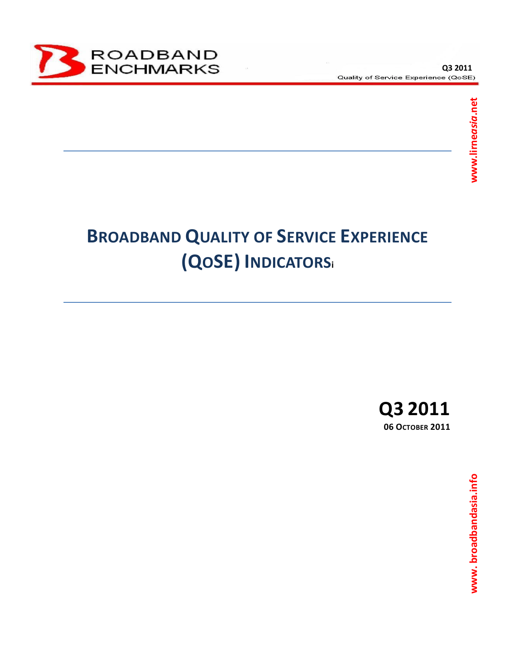

# **BROADBAND QUALITY OF SERVICE EXPERIENCE (QOSE) INDICATORS<sup>i</sup>**

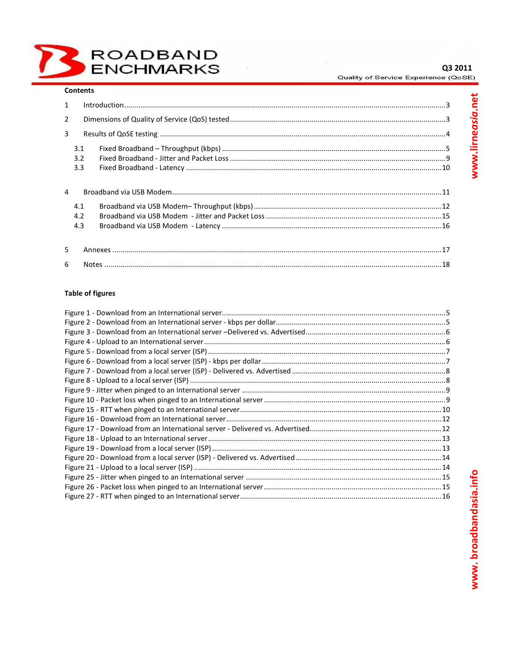## **Contents**

| 1              |     |  |  |  |  |  |  |
|----------------|-----|--|--|--|--|--|--|
| $\overline{2}$ |     |  |  |  |  |  |  |
| 3              |     |  |  |  |  |  |  |
| 3.1            |     |  |  |  |  |  |  |
|                | 3.2 |  |  |  |  |  |  |
|                | 3.3 |  |  |  |  |  |  |
| 4              |     |  |  |  |  |  |  |
|                | 4.1 |  |  |  |  |  |  |
|                | 4.2 |  |  |  |  |  |  |
| 4.3            |     |  |  |  |  |  |  |
|                |     |  |  |  |  |  |  |
| 5              |     |  |  |  |  |  |  |
| 6              |     |  |  |  |  |  |  |

## **Table of figures**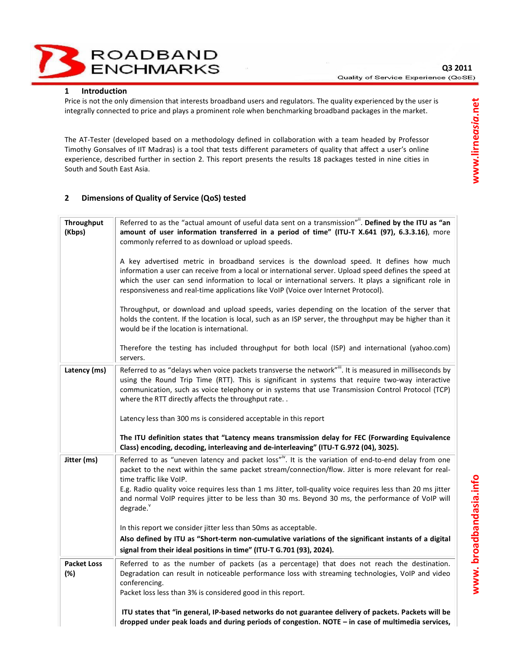**ROADBAND** ENCHMARKS

Price is not the only dimension that interests broadband users and regulators. The quality experienced by the user is integrally connected to price and plays a prominent role when benchmarking broadband packages in the market.

The AT-Tester (developed based on a methodology defined in collaboration with a team headed by Professor Timothy Gonsalves of IIT Madras) is a tool that tests different parameters of quality that affect a user's online experience, described further in section 2. This report presents the results 18 packages tested in nine cities in South and South East Asia.

# **2 Dimensions of Quality of Service (QoS) tested**

| Throughput<br>(Kbps)      | Referred to as the "actual amount of useful data sent on a transmission". Defined by the ITU as "an<br>amount of user information transferred in a period of time" (ITU-T X.641 (97), 6.3.3.16), more<br>commonly referred to as download or upload speeds.<br>A key advertised metric in broadband services is the download speed. It defines how much<br>information a user can receive from a local or international server. Upload speed defines the speed at<br>which the user can send information to local or international servers. It plays a significant role in<br>responsiveness and real-time applications like VoIP (Voice over Internet Protocol).<br>Throughput, or download and upload speeds, varies depending on the location of the server that<br>holds the content. If the location is local, such as an ISP server, the throughput may be higher than it<br>would be if the location is international. |
|---------------------------|-------------------------------------------------------------------------------------------------------------------------------------------------------------------------------------------------------------------------------------------------------------------------------------------------------------------------------------------------------------------------------------------------------------------------------------------------------------------------------------------------------------------------------------------------------------------------------------------------------------------------------------------------------------------------------------------------------------------------------------------------------------------------------------------------------------------------------------------------------------------------------------------------------------------------------|
|                           | Therefore the testing has included throughput for both local (ISP) and international (yahoo.com)<br>servers.                                                                                                                                                                                                                                                                                                                                                                                                                                                                                                                                                                                                                                                                                                                                                                                                                  |
| Latency (ms)              | Referred to as "delays when voice packets transverse the network"". It is measured in milliseconds by<br>using the Round Trip Time (RTT). This is significant in systems that require two-way interactive<br>communication, such as voice telephony or in systems that use Transmission Control Protocol (TCP)<br>where the RTT directly affects the throughput rate                                                                                                                                                                                                                                                                                                                                                                                                                                                                                                                                                          |
|                           | Latency less than 300 ms is considered acceptable in this report                                                                                                                                                                                                                                                                                                                                                                                                                                                                                                                                                                                                                                                                                                                                                                                                                                                              |
|                           | The ITU definition states that "Latency means transmission delay for FEC (Forwarding Equivalence<br>Class) encoding, decoding, interleaving and de-interleaving" (ITU-T G.972 (04), 3025).                                                                                                                                                                                                                                                                                                                                                                                                                                                                                                                                                                                                                                                                                                                                    |
| Jitter (ms)               | Referred to as "uneven latency and packet loss" <sup>iv</sup> . It is the variation of end-to-end delay from one<br>packet to the next within the same packet stream/connection/flow. Jitter is more relevant for real-<br>time traffic like VoIP.<br>E.g. Radio quality voice requires less than 1 ms Jitter, toll-quality voice requires less than 20 ms jitter<br>and normal VoIP requires jitter to be less than 30 ms. Beyond 30 ms, the performance of VoIP will<br>degrade.                                                                                                                                                                                                                                                                                                                                                                                                                                            |
|                           | In this report we consider jitter less than 50ms as acceptable.                                                                                                                                                                                                                                                                                                                                                                                                                                                                                                                                                                                                                                                                                                                                                                                                                                                               |
|                           | Also defined by ITU as "Short-term non-cumulative variations of the significant instants of a digital                                                                                                                                                                                                                                                                                                                                                                                                                                                                                                                                                                                                                                                                                                                                                                                                                         |
|                           | signal from their ideal positions in time" (ITU-T G.701 (93), 2024).                                                                                                                                                                                                                                                                                                                                                                                                                                                                                                                                                                                                                                                                                                                                                                                                                                                          |
| <b>Packet Loss</b><br>(%) | Referred to as the number of packets (as a percentage) that does not reach the destination.<br>Degradation can result in noticeable performance loss with streaming technologies, VoIP and video<br>conferencing.<br>Packet loss less than 3% is considered good in this report.                                                                                                                                                                                                                                                                                                                                                                                                                                                                                                                                                                                                                                              |
|                           |                                                                                                                                                                                                                                                                                                                                                                                                                                                                                                                                                                                                                                                                                                                                                                                                                                                                                                                               |
|                           | ITU states that "in general, IP-based networks do not guarantee delivery of packets. Packets will be<br>dropped under peak loads and during periods of congestion. NOTE - in case of multimedia services,                                                                                                                                                                                                                                                                                                                                                                                                                                                                                                                                                                                                                                                                                                                     |

www.broadbandasia.info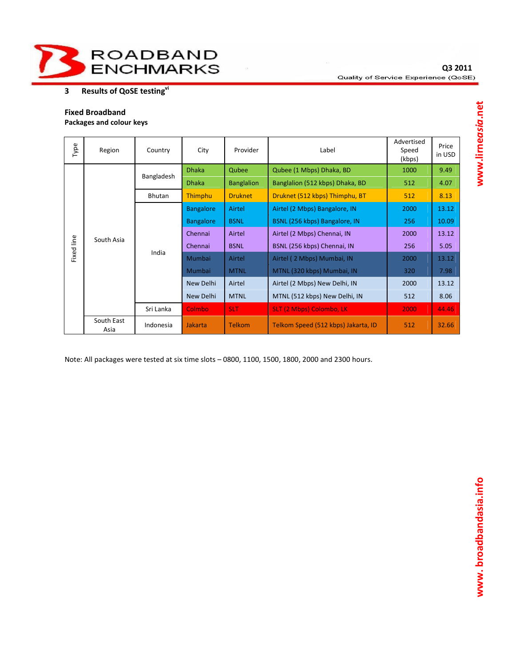

# **3 Results of QoSE testingvi**

## **Fixed Broadband**

**Packages and colour keys** 

| Type       | Region             | Country    | City                                                             | Provider          | Label                               | Advertised<br>Speed<br>(kbps) | Price<br>in USD |
|------------|--------------------|------------|------------------------------------------------------------------|-------------------|-------------------------------------|-------------------------------|-----------------|
|            | South Asia         | Bangladesh | <b>Dhaka</b>                                                     | Qubee             | Qubee (1 Mbps) Dhaka, BD            | 1000                          | 9.49            |
|            |                    |            | <b>Dhaka</b>                                                     | <b>Banglalion</b> | Banglalion (512 kbps) Dhaka, BD     | 512                           | 4.07            |
|            |                    | Bhutan     | <b>Thimphu</b>                                                   | <b>Druknet</b>    | Druknet (512 kbps) Thimphu, BT      | 512                           | 8.13            |
|            |                    | India      | <b>Bangalore</b>                                                 | Airtel            | Airtel (2 Mbps) Bangalore, IN       | 2000                          | 13.12           |
|            |                    |            | <b>BSNL</b><br>BSNL (256 kbps) Bangalore, IN<br><b>Bangalore</b> |                   | 256                                 | 10.09                         |                 |
|            |                    |            | Chennai                                                          | Airtel            | Airtel (2 Mbps) Chennai, IN         | 2000                          | 13.12           |
| Fixed line |                    |            | Chennai                                                          | <b>BSNL</b>       | BSNL (256 kbps) Chennai, IN         | 256                           | 5.05            |
|            |                    |            | Mumbai                                                           | Airtel            | Airtel (2 Mbps) Mumbai, IN          | 2000                          | 13.12           |
|            |                    |            | <b>Mumbai</b>                                                    | <b>MTNL</b>       | MTNL (320 kbps) Mumbai, IN          | 320                           | 7.98            |
|            |                    |            | New Delhi                                                        | Airtel            | Airtel (2 Mbps) New Delhi, IN       | 2000                          | 13.12           |
|            |                    |            | New Delhi                                                        | <b>MTNL</b>       | MTNL (512 kbps) New Delhi, IN       | 512                           | 8.06            |
|            |                    | Sri Lanka  | <b>Colmbo</b>                                                    | <b>SLT</b>        | <b>SLT (2 Mbps) Colombo, LK</b>     | 2000                          | 44.46           |
|            | South East<br>Asia | Indonesia  | <b>Jakarta</b>                                                   | <b>Telkom</b>     | Telkom Speed (512 kbps) Jakarta, ID | 512                           | 32.66           |

Note: All packages were tested at six time slots – 0800, 1100, 1500, 1800, 2000 and 2300 hours.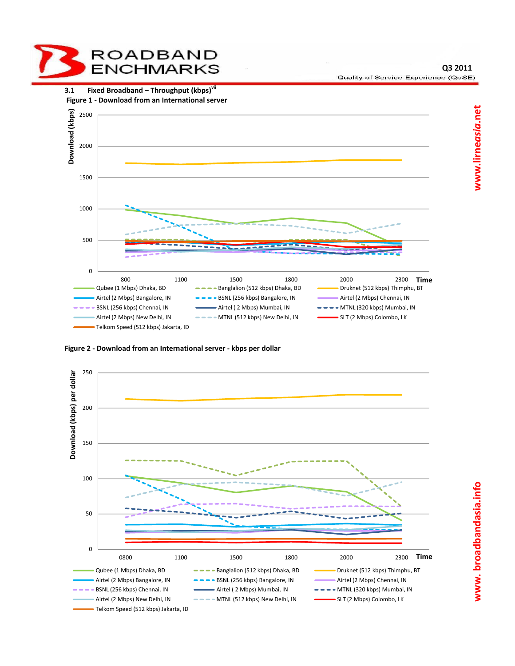

**Q3 2011** Quality of Service Experience (QoSE)



**Figure 2 - Download from an International server - kbps per dollar** 

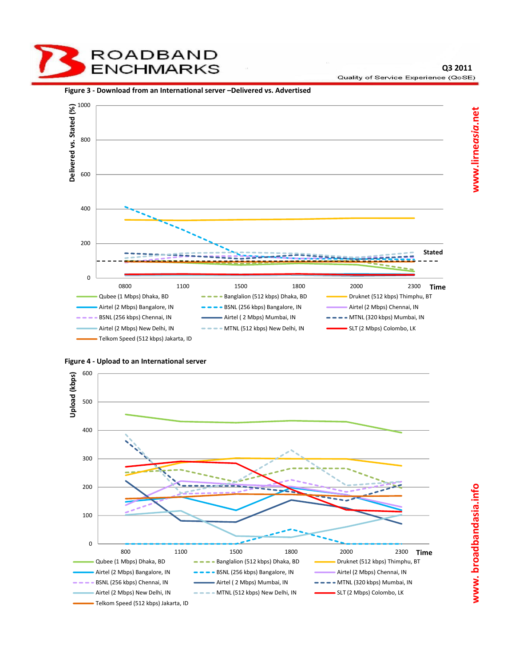ROADBAND ENCHMARKS

#### **Figure 3 - Download from an International server –Delivered vs. Advertised**





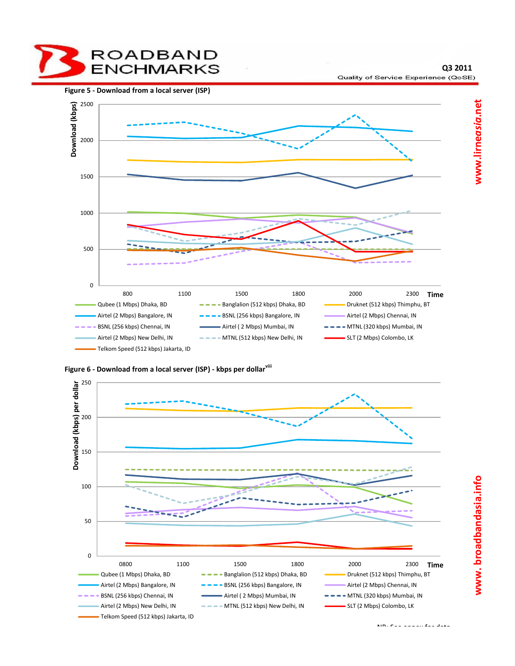**ROADBAND** ENCHMARKS

**Figure 5 - Download from a local server (ISP)** 



**Figure 6 - Download from a local server (ISP) - kbps per dollarviii**



www.lirneasia.net

**Q3 2011**

Quality of Service Experience (QoSE)

**www. broadbandasia.info www.lirne***asia***.net**www.broadbandasia.info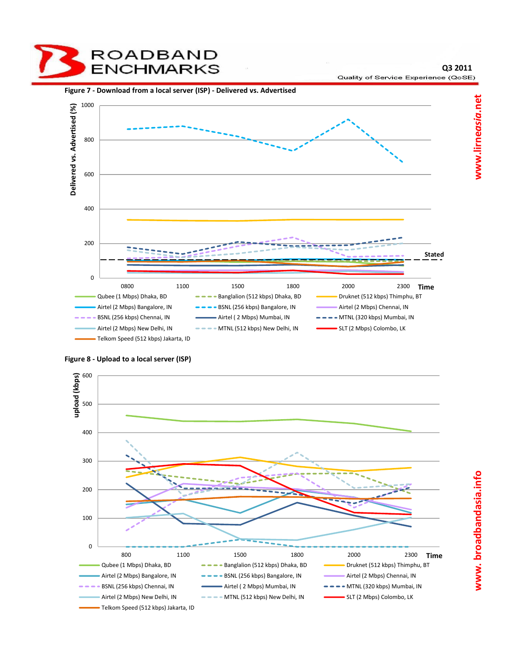**Q3 2011** Quality of Service Experience (QoSE)



**Figure 8 - Upload to a local server (ISP)** 

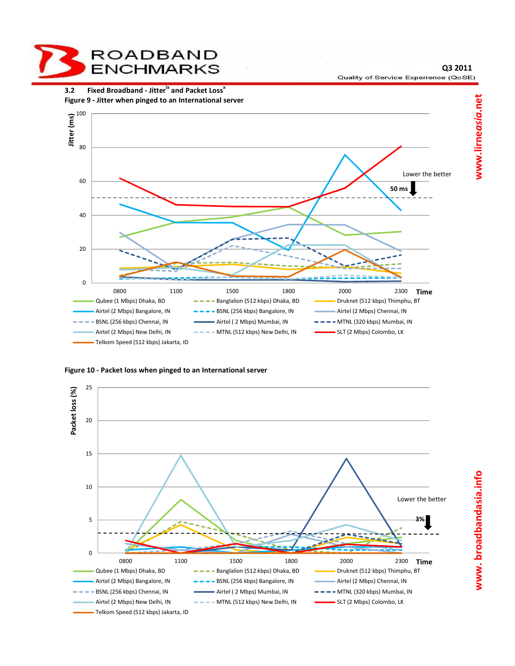

**Q3 2011** Quality of Service Experience (QoSE)



**Figure 10 - Packet loss when pinged to an International server** 

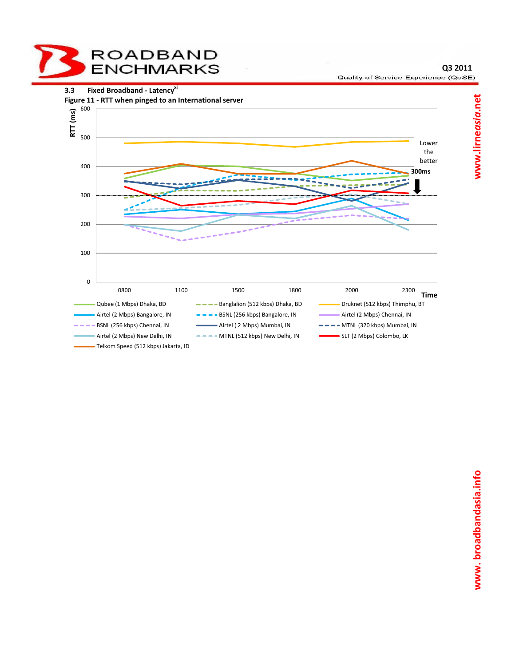

**Q3 2011**

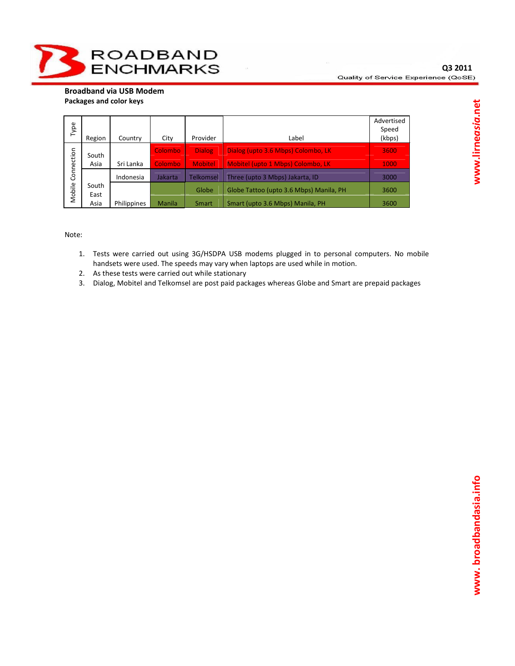**Broadband via USB Modem Packages and color keys** 

| Type       | Region                      | Country   | City           | Provider         | Label                                   | Advertised<br>Speed<br>(kbps) |
|------------|-----------------------------|-----------|----------------|------------------|-----------------------------------------|-------------------------------|
|            | South                       |           | <b>Colombo</b> | <b>Dialog</b>    | Dialog (upto 3.6 Mbps) Colombo, LK      | 3600                          |
|            | Asia                        | Sri Lanka | Colombo        | <b>Mobitel</b>   | Mobitel (upto 1 Mbps) Colombo, LK       | 1000                          |
| Connection |                             | Indonesia | Jakarta        | <b>Telkomsel</b> | Three (upto 3 Mbps) Jakarta, ID         | 3000                          |
| Mobile     | South                       |           |                | Globe            | Globe Tattoo (upto 3.6 Mbps) Manila, PH | 3600                          |
|            | East<br>Asia<br>Philippines |           | <b>Manila</b>  | Smart            | Smart (upto 3.6 Mbps) Manila, PH        | 3600                          |

Note:

- 1. Tests were carried out using 3G/HSDPA USB modems plugged in to personal computers. No mobile handsets were used. The speeds may vary when laptops are used while in motion.
- 2. As these tests were carried out while stationary
- 3. Dialog, Mobitel and Telkomsel are post paid packages whereas Globe and Smart are prepaid packages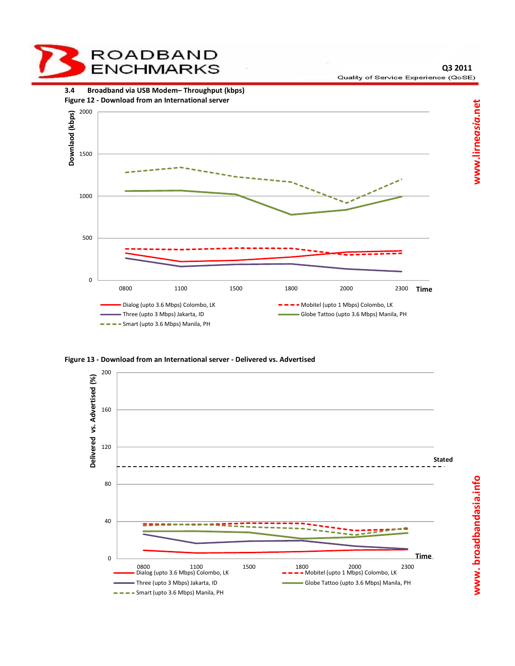

**Q3 2011** Quality of Service Experience (QoSE)



**Figure 13 - Download from an International server - Delivered vs. Advertised** 

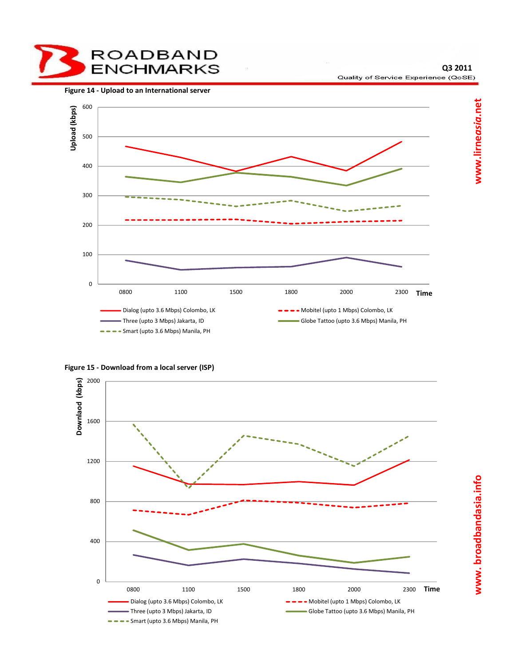

**Figure 14 - Upload to an International server** 





**Figure 15 - Download from a local server (ISP)** 

**Q3 2011**

Quality of Service Experience (QoSE)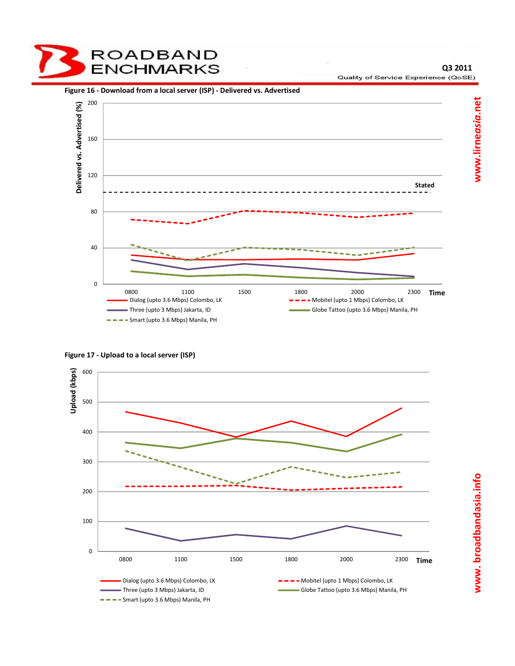





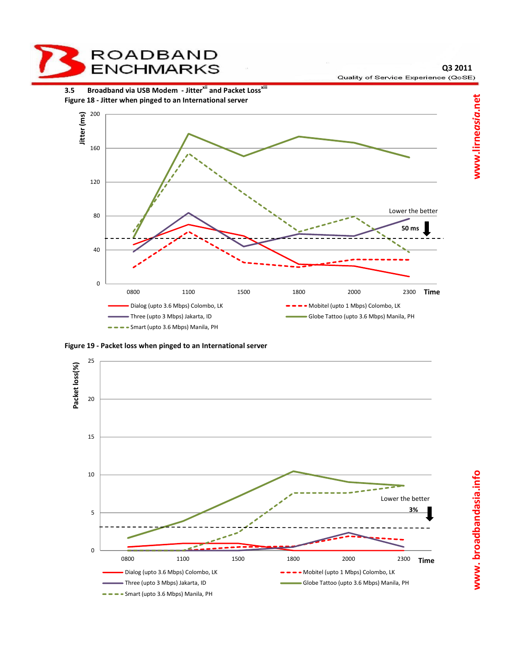

**Figure 19 - Packet loss when pinged to an International server** 



www.broadbandasia.info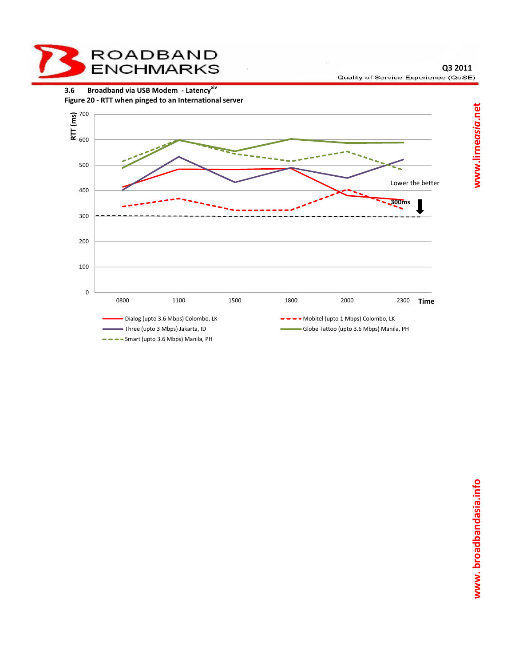

**3.6 Broadband via USB Modem - Latencyxiv Figure 20 - RTT when pinged to an International server** 



www.lirneasia.net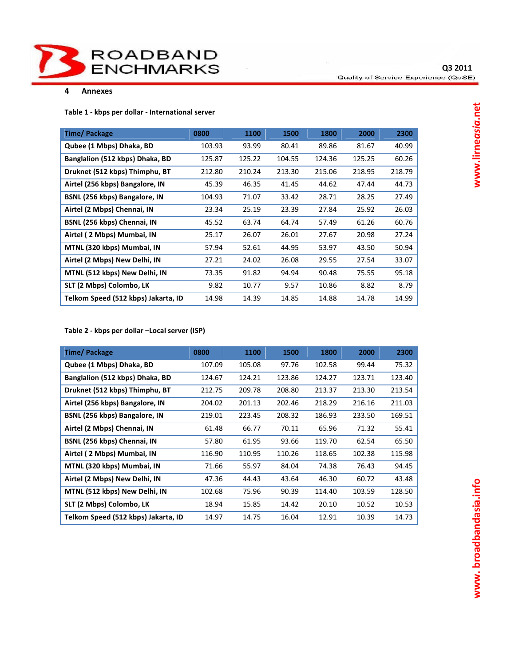

#### **4 Annexes**

**Table 1 - kbps per dollar - International server** 

| Time/Package                        | 0800   | 1100   | 1500   | 1800   | 2000   | 2300   |
|-------------------------------------|--------|--------|--------|--------|--------|--------|
| Qubee (1 Mbps) Dhaka, BD            | 103.93 | 93.99  | 80.41  | 89.86  | 81.67  | 40.99  |
| Banglalion (512 kbps) Dhaka, BD     | 125.87 | 125.22 | 104.55 | 124.36 | 125.25 | 60.26  |
| Druknet (512 kbps) Thimphu, BT      | 212.80 | 210.24 | 213.30 | 215.06 | 218.95 | 218.79 |
| Airtel (256 kbps) Bangalore, IN     | 45.39  | 46.35  | 41.45  | 44.62  | 47.44  | 44.73  |
| BSNL (256 kbps) Bangalore, IN       | 104.93 | 71.07  | 33.42  | 28.71  | 28.25  | 27.49  |
| Airtel (2 Mbps) Chennai, IN         | 23.34  | 25.19  | 23.39  | 27.84  | 25.92  | 26.03  |
| BSNL (256 kbps) Chennai, IN         | 45.52  | 63.74  | 64.74  | 57.49  | 61.26  | 60.76  |
| Airtel (2 Mbps) Mumbai, IN          | 25.17  | 26.07  | 26.01  | 27.67  | 20.98  | 27.24  |
| MTNL (320 kbps) Mumbai, IN          | 57.94  | 52.61  | 44.95  | 53.97  | 43.50  | 50.94  |
| Airtel (2 Mbps) New Delhi, IN       | 27.21  | 24.02  | 26.08  | 29.55  | 27.54  | 33.07  |
| MTNL (512 kbps) New Delhi, IN       | 73.35  | 91.82  | 94.94  | 90.48  | 75.55  | 95.18  |
| SLT (2 Mbps) Colombo, LK            | 9.82   | 10.77  | 9.57   | 10.86  | 8.82   | 8.79   |
| Telkom Speed (512 kbps) Jakarta, ID | 14.98  | 14.39  | 14.85  | 14.88  | 14.78  | 14.99  |

## **Table 2 - kbps per dollar –Local server (ISP)**

| Time/Package                        | 0800   | 1100   | 1500   | 1800   | 2000   | 2300   |
|-------------------------------------|--------|--------|--------|--------|--------|--------|
| Qubee (1 Mbps) Dhaka, BD            | 107.09 | 105.08 | 97.76  | 102.58 | 99.44  | 75.32  |
| Banglalion (512 kbps) Dhaka, BD     | 124.67 | 124.21 | 123.86 | 124.27 | 123.71 | 123.40 |
| Druknet (512 kbps) Thimphu, BT      | 212.75 | 209.78 | 208.80 | 213.37 | 213.30 | 213.54 |
| Airtel (256 kbps) Bangalore, IN     | 204.02 | 201.13 | 202.46 | 218.29 | 216.16 | 211.03 |
| BSNL (256 kbps) Bangalore, IN       | 219.01 | 223.45 | 208.32 | 186.93 | 233.50 | 169.51 |
| Airtel (2 Mbps) Chennai, IN         | 61.48  | 66.77  | 70.11  | 65.96  | 71.32  | 55.41  |
| BSNL (256 kbps) Chennai, IN         | 57.80  | 61.95  | 93.66  | 119.70 | 62.54  | 65.50  |
| Airtel (2 Mbps) Mumbai, IN          | 116.90 | 110.95 | 110.26 | 118.65 | 102.38 | 115.98 |
| MTNL (320 kbps) Mumbai, IN          | 71.66  | 55.97  | 84.04  | 74.38  | 76.43  | 94.45  |
| Airtel (2 Mbps) New Delhi, IN       | 47.36  | 44.43  | 43.64  | 46.30  | 60.72  | 43.48  |
| MTNL (512 kbps) New Delhi, IN       | 102.68 | 75.96  | 90.39  | 114.40 | 103.59 | 128.50 |
| SLT (2 Mbps) Colombo, LK            | 18.94  | 15.85  | 14.42  | 20.10  | 10.52  | 10.53  |
| Telkom Speed (512 kbps) Jakarta, ID | 14.97  | 14.75  | 16.04  | 12.91  | 10.39  | 14.73  |